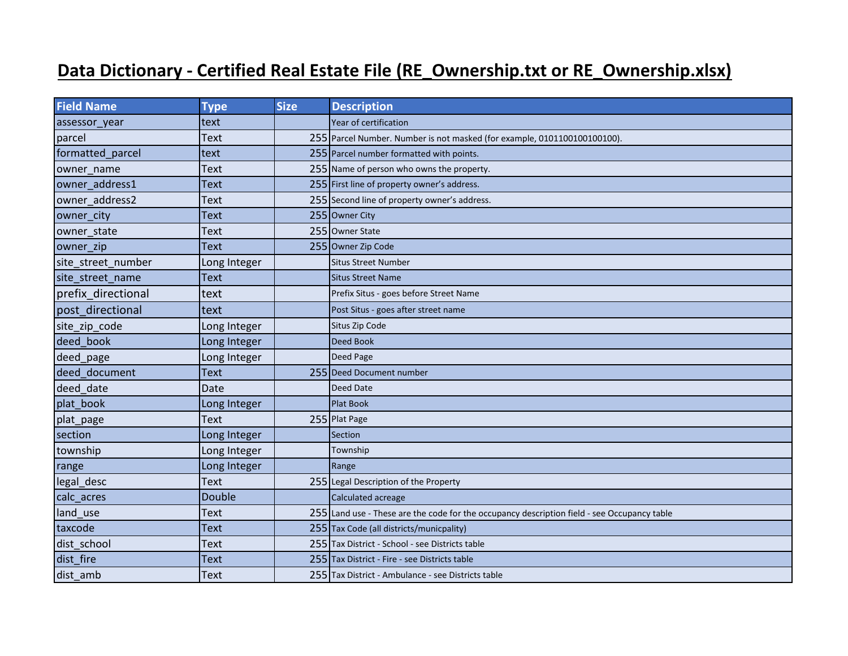## **Data Dictionary - Certified Real Estate File (RE\_Ownership.txt or RE\_Ownership.xlsx)**

| <b>Field Name</b>  | <b>Type</b>   | <b>Size</b> | <b>Description</b>                                                                          |
|--------------------|---------------|-------------|---------------------------------------------------------------------------------------------|
| assessor_year      | text          |             | Year of certification                                                                       |
| parcel             | Text          |             | 255 Parcel Number. Number is not masked (for example, 0101100100100100).                    |
| formatted parcel   | text          |             | 255 Parcel number formatted with points.                                                    |
| owner_name         | Text          |             | 255 Name of person who owns the property.                                                   |
| owner address1     | <b>Text</b>   |             | 255 First line of property owner's address.                                                 |
| owner address2     | <b>Text</b>   |             | 255 Second line of property owner's address.                                                |
| owner city         | Text          |             | 255 Owner City                                                                              |
| owner state        | Text          |             | 255 Owner State                                                                             |
| owner zip          | <b>Text</b>   |             | 255 Owner Zip Code                                                                          |
| site_street_number | Long Integer  |             | <b>Situs Street Number</b>                                                                  |
| site street name   | <b>Text</b>   |             | <b>Situs Street Name</b>                                                                    |
| prefix directional | text          |             | Prefix Situs - goes before Street Name                                                      |
| post directional   | text          |             | Post Situs - goes after street name                                                         |
| site_zip_code      | Long Integer  |             | Situs Zip Code                                                                              |
| deed book          | Long Integer  |             | <b>Deed Book</b>                                                                            |
| deed_page          | Long Integer  |             | Deed Page                                                                                   |
| deed document      | <b>Text</b>   |             | 255 Deed Document number                                                                    |
| deed date          | Date          |             | Deed Date                                                                                   |
| plat book          | Long Integer  |             | <b>Plat Book</b>                                                                            |
| plat_page          | <b>Text</b>   |             | 255 Plat Page                                                                               |
| section            | Long Integer  |             | Section                                                                                     |
| township           | Long Integer  |             | Township                                                                                    |
| range              | Long Integer  |             | Range                                                                                       |
| legal_desc         | Text          |             | 255 Legal Description of the Property                                                       |
| calc_acres         | <b>Double</b> |             | Calculated acreage                                                                          |
| land use           | Text          |             | 255 Land use - These are the code for the occupancy description field - see Occupancy table |
| taxcode            | Text          |             | 255 Tax Code (all districts/municpality)                                                    |
| dist school        | Text          |             | 255 Tax District - School - see Districts table                                             |
| dist fire          | <b>Text</b>   |             | 255 Tax District - Fire - see Districts table                                               |
| dist amb           | <b>Text</b>   |             | 255 Tax District - Ambulance - see Districts table                                          |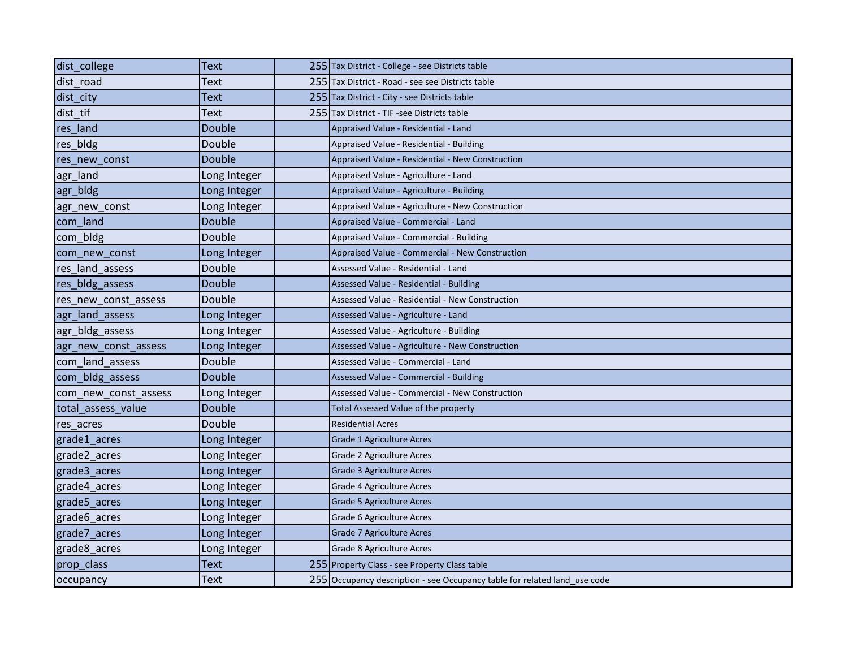| dist college         | Text          | 255 Tax District - College - see Districts table                          |
|----------------------|---------------|---------------------------------------------------------------------------|
| dist road            | Text          | 255 Tax District - Road - see see Districts table                         |
| dist city            | Text          | 255 Tax District - City - see Districts table                             |
| dist tif             | Text          | 255 Tax District - TIF -see Districts table                               |
| res land             | Double        | Appraised Value - Residential - Land                                      |
| res_bldg             | Double        | Appraised Value - Residential - Building                                  |
| res new const        | Double        | Appraised Value - Residential - New Construction                          |
| agr_land             | Long Integer  | Appraised Value - Agriculture - Land                                      |
| agr_bldg             | Long Integer  | Appraised Value - Agriculture - Building                                  |
| agr_new_const        | Long Integer  | Appraised Value - Agriculture - New Construction                          |
| com land             | Double        | Appraised Value - Commercial - Land                                       |
| com bldg             | Double        | Appraised Value - Commercial - Building                                   |
| com new const        | Long Integer  | Appraised Value - Commercial - New Construction                           |
| res land assess      | Double        | Assessed Value - Residential - Land                                       |
| res bldg assess      | Double        | Assessed Value - Residential - Building                                   |
| res_new_const_assess | Double        | Assessed Value - Residential - New Construction                           |
| agr land assess      | Long Integer  | Assessed Value - Agriculture - Land                                       |
| agr bldg assess      | Long Integer  | Assessed Value - Agriculture - Building                                   |
| agr_new_const_assess | Long Integer  | Assessed Value - Agriculture - New Construction                           |
| com_land_assess      | Double        | Assessed Value - Commercial - Land                                        |
| com bldg assess      | Double        | Assessed Value - Commercial - Building                                    |
| com new const assess | Long Integer  | Assessed Value - Commercial - New Construction                            |
| total assess value   | <b>Double</b> | Total Assessed Value of the property                                      |
| res_acres            | Double        | <b>Residential Acres</b>                                                  |
| grade1_acres         | Long Integer  | Grade 1 Agriculture Acres                                                 |
| grade2_acres         | Long Integer  | Grade 2 Agriculture Acres                                                 |
| grade3 acres         | Long Integer  | <b>Grade 3 Agriculture Acres</b>                                          |
| grade4_acres         | Long Integer  | Grade 4 Agriculture Acres                                                 |
| grade5_acres         | Long Integer  | <b>Grade 5 Agriculture Acres</b>                                          |
| grade6 acres         | Long Integer  | Grade 6 Agriculture Acres                                                 |
| grade7 acres         | Long Integer  | Grade 7 Agriculture Acres                                                 |
| grade8 acres         | Long Integer  | Grade 8 Agriculture Acres                                                 |
| prop_class           | Text          | 255 Property Class - see Property Class table                             |
| occupancy            | Text          | 255 Occupancy description - see Occupancy table for related land use code |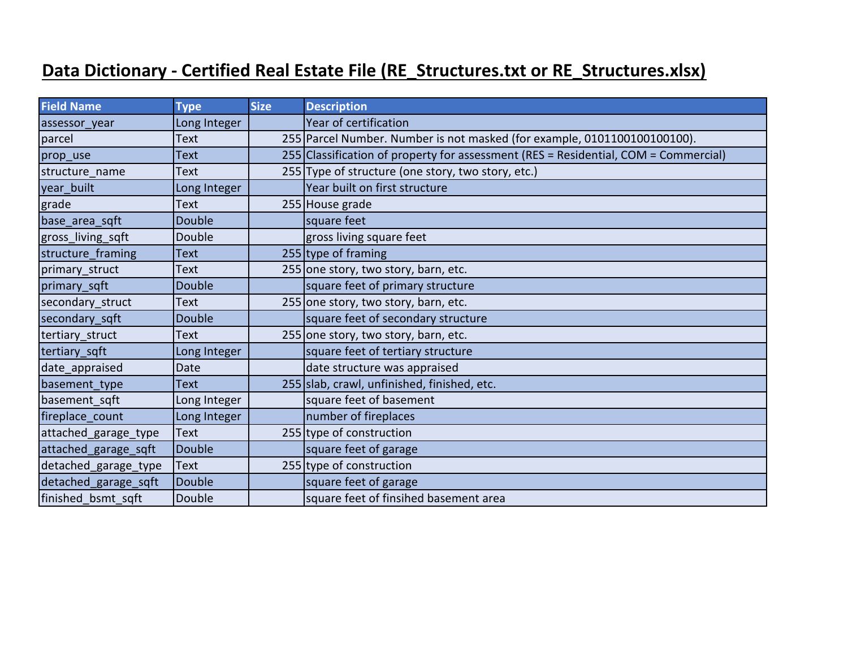## **Data Dictionary - Certified Real Estate File (RE\_Structures.txt or RE\_Structures.xlsx)**

| <b>Field Name</b>    | <b>Type</b>   | <b>Size</b> | <b>Description</b>                                                                  |
|----------------------|---------------|-------------|-------------------------------------------------------------------------------------|
| assessor_year        | Long Integer  |             | Year of certification                                                               |
| parcel               | <b>Text</b>   |             | 255 Parcel Number. Number is not masked (for example, 0101100100100100).            |
| prop_use             | <b>Text</b>   |             | 255 Classification of property for assessment (RES = Residential, COM = Commercial) |
| structure name       | <b>Text</b>   |             | 255 Type of structure (one story, two story, etc.)                                  |
| year built           | Long Integer  |             | Year built on first structure                                                       |
| grade                | <b>Text</b>   |             | 255 House grade                                                                     |
| base_area_sqft       | Double        |             | square feet                                                                         |
| gross_living_sqft    | Double        |             | gross living square feet                                                            |
| structure_framing    | <b>Text</b>   |             | 255 type of framing                                                                 |
| primary struct       | <b>Text</b>   |             | 255 one story, two story, barn, etc.                                                |
| primary sqft         | <b>Double</b> |             | square feet of primary structure                                                    |
| secondary struct     | <b>Text</b>   |             | 255 one story, two story, barn, etc.                                                |
| secondary sqft       | <b>Double</b> |             | square feet of secondary structure                                                  |
| tertiary_struct      | <b>Text</b>   |             | 255 one story, two story, barn, etc.                                                |
| tertiary_sqft        | Long Integer  |             | square feet of tertiary structure                                                   |
| date appraised       | Date          |             | date structure was appraised                                                        |
| basement type        | <b>Text</b>   |             | 255 slab, crawl, unfinished, finished, etc.                                         |
| basement sqft        | Long Integer  |             | square feet of basement                                                             |
| fireplace count      | Long Integer  |             | number of fireplaces                                                                |
| attached_garage_type | <b>Text</b>   |             | 255 type of construction                                                            |
| attached garage sqft | Double        |             | square feet of garage                                                               |
| detached_garage_type | <b>Text</b>   |             | 255 type of construction                                                            |
| detached_garage_sqft | Double        |             | square feet of garage                                                               |
| finished bsmt sqft   | Double        |             | square feet of finsihed basement area                                               |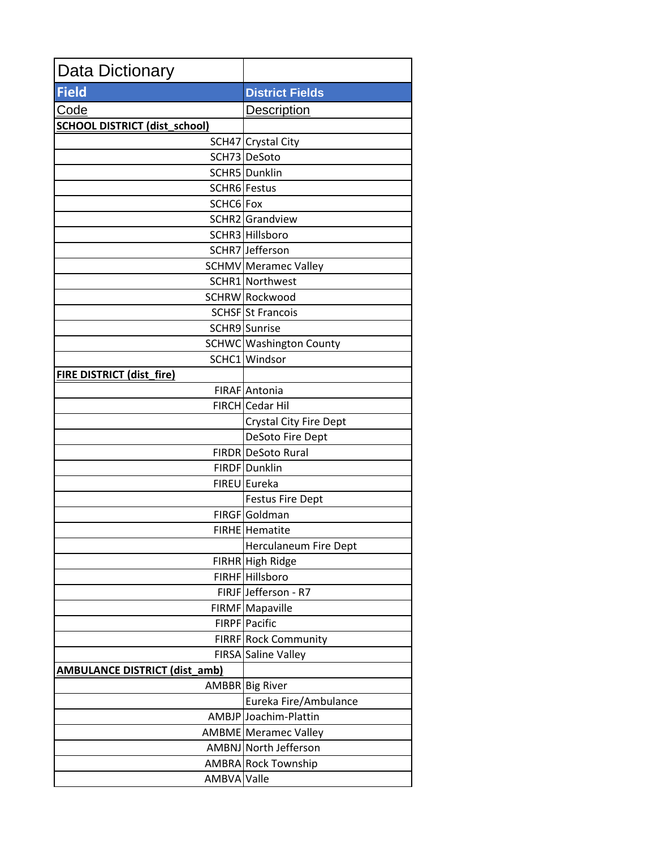| <b>Data Dictionary</b>               |                                     |
|--------------------------------------|-------------------------------------|
| <b>Field</b>                         | <b>District Fields</b>              |
| Code                                 | Description                         |
| <b>SCHOOL DISTRICT (dist_school)</b> |                                     |
|                                      | SCH47 Crystal City                  |
|                                      | SCH73 DeSoto                        |
|                                      | SCHR5 Dunklin                       |
|                                      | SCHR6 Festus                        |
| SCHC6 Fox                            |                                     |
|                                      | SCHR2 Grandview                     |
|                                      | SCHR3 Hillsboro                     |
|                                      | SCHR7 Jefferson                     |
|                                      | <b>SCHMV</b> Meramec Valley         |
|                                      | SCHR1 Northwest                     |
|                                      | SCHRW Rockwood                      |
|                                      | SCHSF St Francois                   |
|                                      | SCHR9 Sunrise                       |
|                                      | SCHWC Washington County             |
|                                      | SCHC1 Windsor                       |
| <b>FIRE DISTRICT (dist_fire)</b>     |                                     |
|                                      | FIRAF Antonia                       |
|                                      | FIRCH Cedar Hil                     |
|                                      | <b>Crystal City Fire Dept</b>       |
|                                      | DeSoto Fire Dept                    |
|                                      | FIRDR DeSoto Rural<br>FIRDF Dunklin |
|                                      | FIREU Eureka                        |
|                                      | <b>Festus Fire Dept</b>             |
|                                      | FIRGF Goldman                       |
|                                      | FIRHE Hematite                      |
|                                      | <b>Herculaneum Fire Dept</b>        |
|                                      | FIRHR High Ridge                    |
|                                      | FIRHF Hillsboro                     |
|                                      | FIRJF Jefferson - R7                |
|                                      | FIRMF Mapaville                     |
|                                      | FIRPF Pacific                       |
|                                      | FIRRF Rock Community                |
|                                      | FIRSA Saline Valley                 |
| <b>AMBULANCE DISTRICT (dist_amb)</b> |                                     |
|                                      | AMBBR Big River                     |
|                                      | Eureka Fire/Ambulance               |
|                                      | AMBJP Joachim-Plattin               |
|                                      | AMBME Meramec Valley                |
|                                      | AMBNJ North Jefferson               |
|                                      | AMBRA Rock Township                 |
| AMBVA Valle                          |                                     |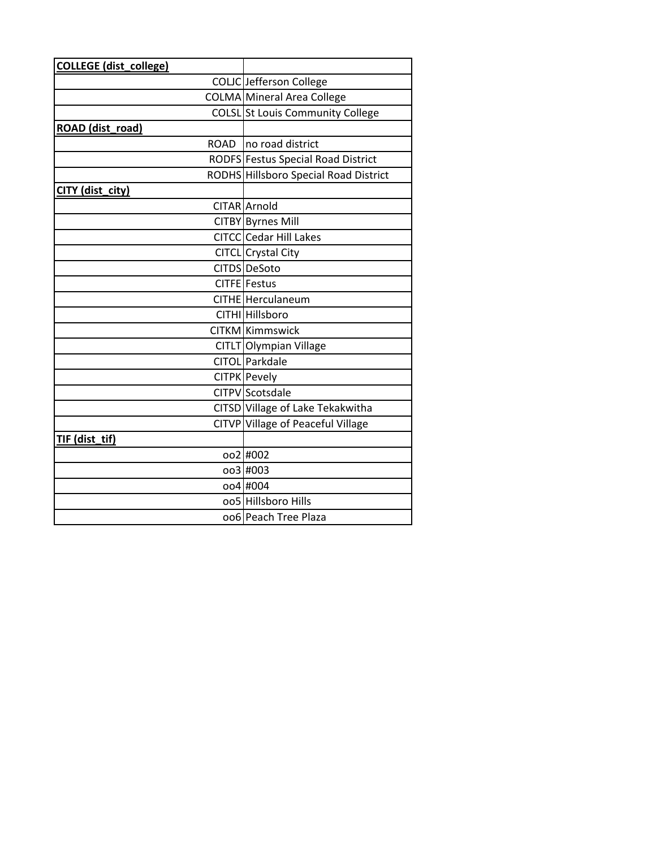| <b>COLLEGE</b> (dist_college) |                                              |
|-------------------------------|----------------------------------------------|
|                               | COLIC Jefferson College                      |
|                               | COLMA Mineral Area College                   |
|                               | COLSL St Louis Community College             |
| ROAD (dist_road)              |                                              |
| ROAD                          | no road district                             |
|                               | RODFS Festus Special Road District           |
|                               | <b>RODHS Hillsboro Special Road District</b> |
| CITY (dist_city)              |                                              |
|                               | <b>CITAR</b> Arnold                          |
|                               | CITBY Byrnes Mill                            |
|                               | CITCC Cedar Hill Lakes                       |
|                               | CITCL Crystal City                           |
|                               | CITDS DeSoto                                 |
|                               | CITFE Festus                                 |
|                               | CITHE Herculaneum                            |
|                               | CITHI Hillsboro                              |
|                               | CITKM Kimmswick                              |
|                               | CITLT Olympian Village                       |
|                               | CITOL Parkdale                               |
|                               | CITPK Pevely                                 |
|                               | <b>CITPV</b> Scotsdale                       |
|                               | CITSD Village of Lake Tekakwitha             |
|                               | CITVP Village of Peaceful Village            |
| TIF (dist_tif)                |                                              |
|                               | oo2 #002                                     |
|                               | oo3 #003                                     |
|                               | oo4 #004                                     |
|                               | 005 Hillsboro Hills                          |
|                               | 006 Peach Tree Plaza                         |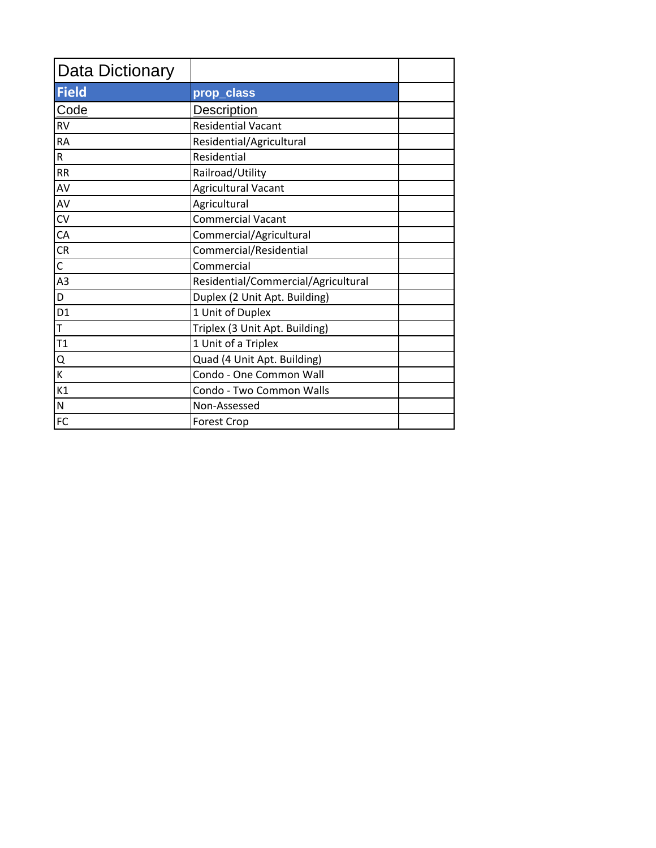| <b>Data Dictionary</b> |                                     |
|------------------------|-------------------------------------|
| <b>Field</b>           | prop_class                          |
| Code                   | <b>Description</b>                  |
| <b>RV</b>              | <b>Residential Vacant</b>           |
| <b>RA</b>              | Residential/Agricultural            |
| $\mathsf R$            | Residential                         |
| <b>RR</b>              | Railroad/Utility                    |
| AV                     | <b>Agricultural Vacant</b>          |
| AV                     | Agricultural                        |
| CV                     | <b>Commercial Vacant</b>            |
| CA                     | Commercial/Agricultural             |
| CR                     | Commercial/Residential              |
| $\mathsf{C}$           | Commercial                          |
| A <sub>3</sub>         | Residential/Commercial/Agricultural |
| D                      | Duplex (2 Unit Apt. Building)       |
| D <sub>1</sub>         | 1 Unit of Duplex                    |
| T                      | Triplex (3 Unit Apt. Building)      |
| T1                     | 1 Unit of a Triplex                 |
| Q                      | Quad (4 Unit Apt. Building)         |
| К                      | Condo - One Common Wall             |
| K1                     | Condo - Two Common Walls            |
| N                      | Non-Assessed                        |
| FC                     | <b>Forest Crop</b>                  |